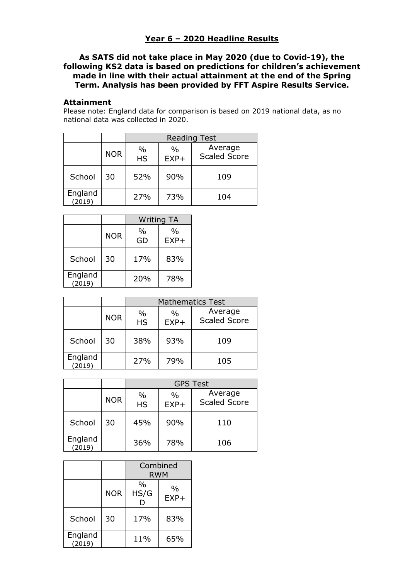## **Year 6 – 2020 Headline Results**

## **As SATS did not take place in May 2020 (due to Covid-19), the following KS2 data is based on predictions for children's achievement made in line with their actual attainment at the end of the Spring Term. Analysis has been provided by FFT Aspire Results Service.**

## **Attainment**

Please note: England data for comparison is based on 2019 national data, as no national data was collected in 2020.

|                   |            | <b>Reading Test</b>        |                |                                |
|-------------------|------------|----------------------------|----------------|--------------------------------|
|                   | <b>NOR</b> | $\frac{0}{0}$<br><b>HS</b> | $\%$<br>$EXP+$ | Average<br><b>Scaled Score</b> |
| School            | 30         | 52%                        | 90%            | 109                            |
| England<br>(2019) |            | 27%                        | 73%            | 104                            |

|                   |            | <b>Writing TA</b> |                         |
|-------------------|------------|-------------------|-------------------------|
|                   | <b>NOR</b> | $\%$<br>GD        | $\frac{0}{0}$<br>$EXP+$ |
| School            | 30         | 17%               | 83%                     |
| England<br>(2019) |            | 20%               | 78%                     |

|                   |            | <b>Mathematics Test</b> |                         |                                |
|-------------------|------------|-------------------------|-------------------------|--------------------------------|
|                   | <b>NOR</b> | $\%$<br><b>HS</b>       | $\frac{0}{0}$<br>$EXP+$ | Average<br><b>Scaled Score</b> |
| School            | 30         | 38%                     | 93%                     | 109                            |
| England<br>(2019) |            | 27%                     | 79%                     | 105                            |

|                   |            | <b>GPS Test</b>   |                         |                                |
|-------------------|------------|-------------------|-------------------------|--------------------------------|
|                   | <b>NOR</b> | $\%$<br><b>HS</b> | $\frac{0}{0}$<br>$EXP+$ | Average<br><b>Scaled Score</b> |
| School            | 30         | 45%               | 90%                     | 110                            |
| England<br>(2019) |            | 36%               | 78%                     | 106                            |

|                   |            | Combined<br><b>RWM</b> |                         |
|-------------------|------------|------------------------|-------------------------|
|                   | <b>NOR</b> | $\%$<br>HS/G           | $\frac{0}{0}$<br>$EXP+$ |
| School            | 30         | 17%                    | 83%                     |
| England<br>(2019) |            | 11%                    | 65%                     |